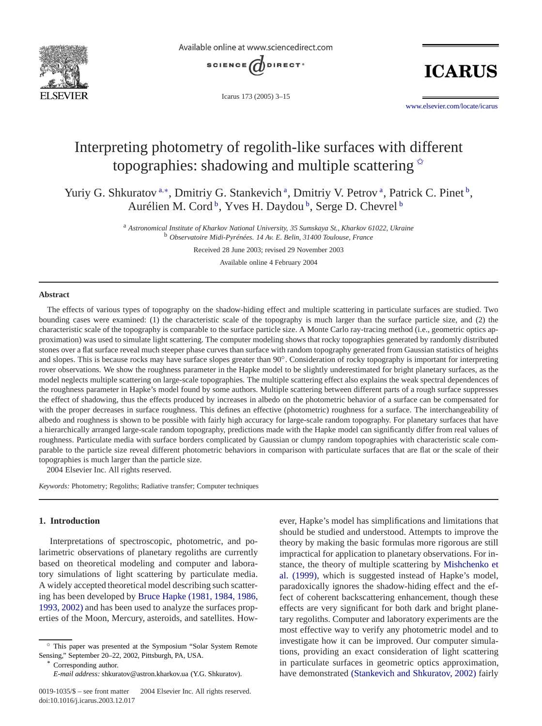

Available online at www.sciencedirect.com



Icarus 173 (2005) 3–15

**ICARUS** 

[www.elsevier.com/locate/icarus](http://www.elsevier.com/locate/icarus)

# Interpreting photometry of regolith-like surfaces with different topographies: shadowing and multiple scattering  $\dot{\alpha}$

Yuriy G. Shkuratov<sup>a,\*</sup>, Dmitriy G. Stankevich<sup>a</sup>, Dmitriy V. Petrov<sup>a</sup>, Patrick C. Pinet<sup>b</sup>, Aurélien M. Cord<sup>b</sup>, Yves H. Daydou<sup>b</sup>, Serge D. Chevrel<sup>b</sup>

> <sup>a</sup> *Astronomical Institute of Kharkov National University, 35 Sumskaya St., Kharkov 61022, Ukraine* <sup>b</sup> *Observatoire Midi-Pyrénées. 14 Av. E. Belin, 31400 Toulouse, France*

> > Received 28 June 2003; revised 29 November 2003

Available online 4 February 2004

#### **Abstract**

The effects of various types of topography on the shadow-hiding effect and multiple scattering in particulate surfaces are studied. Two bounding cases were examined: (1) the characteristic scale of the topography is much larger than the surface particle size, and (2) the characteristic scale of the topography is comparable to the surface particle size. A Monte Carlo ray-tracing method (i.e., geometric optics approximation) was used to simulate light scattering. The computer modeling shows that rocky topographies generated by randomly distributed stones over a flat surface reveal much steeper phase curves than surface with random topography generated from Gaussian statistics of heights and slopes. This is because rocks may have surface slopes greater than 90◦. Consideration of rocky topography is important for interpreting rover observations. We show the roughness parameter in the Hapke model to be slightly underestimated for bright planetary surfaces, as the model neglects multiple scattering on large-scale topographies. The multiple scattering effect also explains the weak spectral dependences of the roughness parameter in Hapke's model found by some authors. Multiple scattering between different parts of a rough surface suppresses the effect of shadowing, thus the effects produced by increases in albedo on the photometric behavior of a surface can be compensated for with the proper decreases in surface roughness. This defines an effective (photometric) roughness for a surface. The interchangeability of albedo and roughness is shown to be possible with fairly high accuracy for large-scale random topography. For planetary surfaces that have a hierarchically arranged large-scale random topography, predictions made with the Hapke model can significantly differ from real values of roughness. Particulate media with surface borders complicated by Gaussian or clumpy random topographies with characteristic scale comparable to the particle size reveal different photometric behaviors in comparison with particulate surfaces that are flat or the scale of their topographies is much larger than the particle size.

2004 Elsevier Inc. All rights reserved.

*Keywords:* Photometry; Regoliths; Radiative transfer; Computer techniques

## **1. Introduction**

Interpretations of spectroscopic, photometric, and polarimetric observations of planetary regoliths are currently based on theoretical modeling and computer and laboratory simulations of light scattering by particulate media. A widely accepted theoretical model describing such scattering has been developed by [Bruce Hapke \(1981, 1984, 1986,](#page-11-0) [1993, 2002\)](#page-11-0) and has been used to analyze the surfaces properties of the Moon, Mercury, asteroids, and satellites. How-

Corresponding author.

ever, Hapke's model has simplifications and limitations that should be studied and understood. Attempts to improve the theory by making the basic formulas more rigorous are still impractical for application to planetary observations. For instance, the theory of multiple scattering by [Mishchenko et](#page-11-0) [al. \(1999\),](#page-11-0) which is suggested instead of Hapke's model, paradoxically ignores the shadow-hiding effect and the effect of coherent backscattering enhancement, though these effects are very significant for both dark and bright planetary regoliths. Computer and laboratory experiments are the most effective way to verify any photometric model and to investigate how it can be improved. Our computer simulations, providing an exact consideration of light scattering in particulate surfaces in geometric optics approximation, have demonstrated [\(Stankevich and Shkuratov, 2002\)](#page-12-0) fairly

<sup>✩</sup> This paper was presented at the Symposium "Solar System Remote Sensing," September 20–22, 2002, Pittsburgh, PA, USA.

*E-mail address:* shkuratov@astron.kharkov.ua (Y.G. Shkuratov).

<sup>0019-1035/\$ –</sup> see front matter  $\odot$  2004 Elsevier Inc. All rights reserved. doi:10.1016/j.icarus.2003.12.017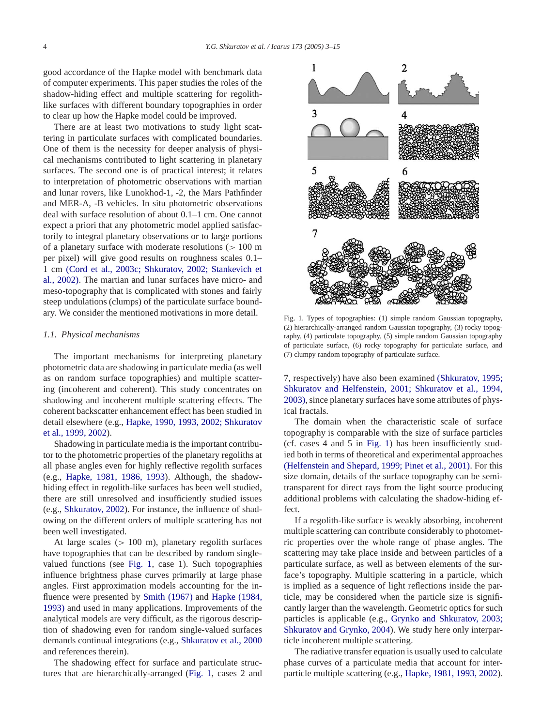<span id="page-1-0"></span>good accordance of the Hapke model with benchmark data of computer experiments. This paper studies the roles of the shadow-hiding effect and multiple scattering for regolithlike surfaces with different boundary topographies in order to clear up how the Hapke model could be improved.

There are at least two motivations to study light scattering in particulate surfaces with complicated boundaries. One of them is the necessity for deeper analysis of physical mechanisms contributed to light scattering in planetary surfaces. The second one is of practical interest; it relates to interpretation of photometric observations with martian and lunar rovers, like Lunokhod-1, -2, the Mars Pathfinder and MER-A, -B vehicles. In situ photometric observations deal with surface resolution of about 0.1–1 cm. One cannot expect a priori that any photometric model applied satisfactorily to integral planetary observations or to large portions of a planetary surface with moderate resolutions (*>* 100 m per pixel) will give good results on roughness scales 0.1– 1 cm [\(Cord et al., 2003c; Shkuratov, 2002; Stankevich et](#page-11-0) [al., 2002\).](#page-11-0) The martian and lunar surfaces have micro- and meso-topography that is complicated with stones and fairly steep undulations (clumps) of the particulate surface boundary. We consider the mentioned motivations in more detail.

#### *1.1. Physical mechanisms*

The important mechanisms for interpreting planetary photometric data are shadowing in particulate media (as well as on random surface topographies) and multiple scattering (incoherent and coherent). This study concentrates on shadowing and incoherent multiple scattering effects. The coherent backscatter enhancement effect has been studied in detail elsewhere (e.g., [Hapke, 1990, 1993, 2002; Shkuratov](#page-11-0) [et al., 1999, 2002\)](#page-11-0).

Shadowing in particulate media is the important contributor to the photometric properties of the planetary regoliths at all phase angles even for highly reflective regolith surfaces (e.g., [Hapke, 1981, 1986, 1993\)](#page-11-0). Although, the shadowhiding effect in regolith-like surfaces has been well studied, there are still unresolved and insufficiently studied issues (e.g., [Shkuratov, 2002\)](#page-11-0). For instance, the influence of shadowing on the different orders of multiple scattering has not been well investigated.

At large scales (*>* 100 m), planetary regolith surfaces have topographies that can be described by random singlevalued functions (see Fig. 1, case 1). Such topographies influence brightness phase curves primarily at large phase angles. First approximation models accounting for the in-fluence were presented by [Smith \(1967\)](#page-12-0) and [Hapke \(1984,](#page-11-0) [1993\)](#page-11-0) and used in many applications. Improvements of the analytical models are very difficult, as the rigorous description of shadowing even for random single-valued surfaces demands continual integrations (e.g., [Shkuratov et al., 2000](#page-12-0) and references therein).

The shadowing effect for surface and particulate structures that are hierarchically-arranged (Fig. 1, cases 2 and



Fig. 1. Types of topographies: (1) simple random Gaussian topography, (2) hierarchically-arranged random Gaussian topography, (3) rocky topography, (4) particulate topography, (5) simple random Gaussian topography of particulate surface, (6) rocky topography for particulate surface, and (7) clumpy random topography of particulate surface.

7, respectively) have also been examined [\(Shkuratov, 1995;](#page-11-0) [Shkuratov and Helfenstein, 2001; Shkuratov et al., 1994,](#page-11-0) [2003\),](#page-11-0) since planetary surfaces have some attributes of physical fractals.

The domain when the characteristic scale of surface topography is comparable with the size of surface particles (cf. cases 4 and 5 in Fig. 1) has been insufficiently studied both in terms of theoretical and experimental approaches [\(Helfenstein and Shepard, 1999; Pinet et al., 2001\).](#page-11-0) For this size domain, details of the surface topography can be semitransparent for direct rays from the light source producing additional problems with calculating the shadow-hiding effect.

If a regolith-like surface is weakly absorbing, incoherent multiple scattering can contribute considerably to photometric properties over the whole range of phase angles. The scattering may take place inside and between particles of a particulate surface, as well as between elements of the surface's topography. Multiple scattering in a particle, which is implied as a sequence of light reflections inside the particle, may be considered when the particle size is significantly larger than the wavelength. Geometric optics for such particles is applicable (e.g., [Grynko and Shkuratov, 2003;](#page-11-0) [Shkuratov and Grynko, 2004\)](#page-11-0). We study here only interparticle incoherent multiple scattering.

The radiative transfer equation is usually used to calculate phase curves of a particulate media that account for interparticle multiple scattering (e.g., [Hapke, 1981, 1993, 2002\)](#page-11-0).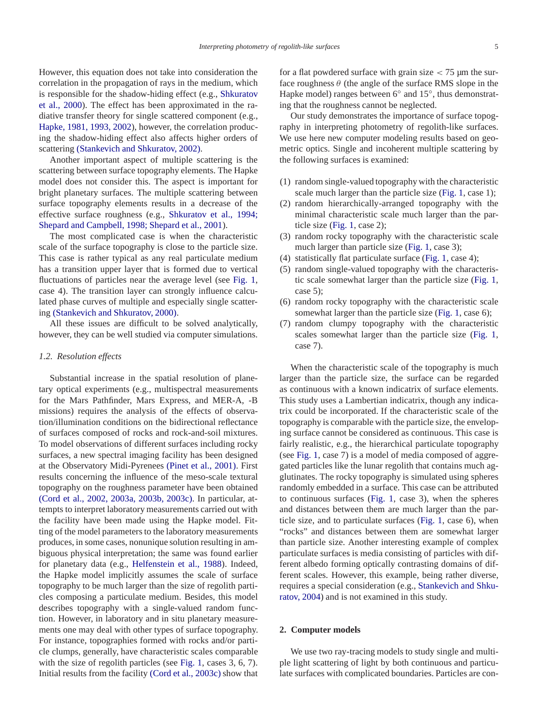However, this equation does not take into consideration the correlation in the propagation of rays in the medium, which is responsible for the shadow-hiding effect (e.g., [Shkuratov](#page-12-0) [et al., 2000\)](#page-12-0). The effect has been approximated in the radiative transfer theory for single scattered component (e.g., [Hapke, 1981, 1993, 2002\)](#page-11-0), however, the correlation producing the shadow-hiding effect also affects higher orders of scattering [\(Stankevich and Shkuratov, 2002\).](#page-12-0)

Another important aspect of multiple scattering is the scattering between surface topography elements. The Hapke model does not consider this. The aspect is important for bright planetary surfaces. The multiple scattering between surface topography elements results in a decrease of the effective surface roughness (e.g., [Shkuratov et al., 1994;](#page-12-0) [Shepard and Campbell, 1998; Shepard et al., 2001\)](#page-12-0).

The most complicated case is when the characteristic scale of the surface topography is close to the particle size. This case is rather typical as any real particulate medium has a transition upper layer that is formed due to vertical fluctuations of particles near the average level (see [Fig. 1,](#page-1-0) case 4). The transition layer can strongly influence calculated phase curves of multiple and especially single scattering [\(Stankevich and Shkuratov, 2000\).](#page-12-0)

All these issues are difficult to be solved analytically, however, they can be well studied via computer simulations.

## *1.2. Resolution effects*

Substantial increase in the spatial resolution of planetary optical experiments (e.g., multispectral measurements for the Mars Pathfinder, Mars Express, and MER-A, -B missions) requires the analysis of the effects of observation/illumination conditions on the bidirectional reflectance of surfaces composed of rocks and rock-and-soil mixtures. To model observations of different surfaces including rocky surfaces, a new spectral imaging facility has been designed at the Observatory Midi-Pyrenees [\(Pinet et al., 2001\).](#page-11-0) First results concerning the influence of the meso-scale textural topography on the roughness parameter have been obtained [\(Cord et al., 2002, 2003a, 2003b, 2003c\).](#page-11-0) In particular, attempts to interpret laboratory measurements carried out with the facility have been made using the Hapke model. Fitting of the model parameters to the laboratory measurements produces, in some cases, nonunique solution resulting in ambiguous physical interpretation; the same was found earlier for planetary data (e.g., [Helfenstein et al., 1988\)](#page-11-0). Indeed, the Hapke model implicitly assumes the scale of surface topography to be much larger than the size of regolith particles composing a particulate medium. Besides, this model describes topography with a single-valued random function. However, in laboratory and in situ planetary measurements one may deal with other types of surface topography. For instance, topographies formed with rocks and/or particle clumps, generally, have characteristic scales comparable with the size of regolith particles (see [Fig. 1,](#page-1-0) cases 3, 6, 7). Initial results from the facility [\(Cord et al., 2003c\)](#page-11-0) show that

for a flat powdered surface with grain size  $<$  75  $\mu$ m the surface roughness  $\theta$  (the angle of the surface RMS slope in the Hapke model) ranges between 6<sup>°</sup> and 15<sup>°</sup>, thus demonstrating that the roughness cannot be neglected.

Our study demonstrates the importance of surface topography in interpreting photometry of regolith-like surfaces. We use here new computer modeling results based on geometric optics. Single and incoherent multiple scattering by the following surfaces is examined:

- (1) random single-valued topography with the characteristic scale much larger than the particle size [\(Fig. 1,](#page-1-0) case 1);
- (2) random hierarchically-arranged topography with the minimal characteristic scale much larger than the particle size [\(Fig. 1,](#page-1-0) case 2);
- (3) random rocky topography with the characteristic scale much larger than particle size [\(Fig. 1,](#page-1-0) case 3);
- (4) statistically flat particulate surface [\(Fig. 1,](#page-1-0) case 4);
- (5) random single-valued topography with the characteristic scale somewhat larger than the particle size [\(Fig. 1,](#page-1-0) case 5);
- (6) random rocky topography with the characteristic scale somewhat larger than the particle size [\(Fig. 1,](#page-1-0) case 6);
- (7) random clumpy topography with the characteristic scales somewhat larger than the particle size [\(Fig. 1,](#page-1-0) case 7).

When the characteristic scale of the topography is much larger than the particle size, the surface can be regarded as continuous with a known indicatrix of surface elements. This study uses a Lambertian indicatrix, though any indicatrix could be incorporated. If the characteristic scale of the topography is comparable with the particle size, the enveloping surface cannot be considered as continuous. This case is fairly realistic, e.g., the hierarchical particulate topography (see [Fig. 1,](#page-1-0) case 7) is a model of media composed of aggregated particles like the lunar regolith that contains much agglutinates. The rocky topography is simulated using spheres randomly embedded in a surface. This case can be attributed to continuous surfaces [\(Fig. 1,](#page-1-0) case 3), when the spheres and distances between them are much larger than the particle size, and to particulate surfaces [\(Fig. 1,](#page-1-0) case 6), when "rocks" and distances between them are somewhat larger than particle size. Another interesting example of complex particulate surfaces is media consisting of particles with different albedo forming optically contrasting domains of different scales. However, this example, being rather diverse, requires a special consideration (e.g., [Stankevich and Shku](#page-12-0)[ratov, 2004\)](#page-12-0) and is not examined in this study.

## **2. Computer models**

We use two ray-tracing models to study single and multiple light scattering of light by both continuous and particulate surfaces with complicated boundaries. Particles are con-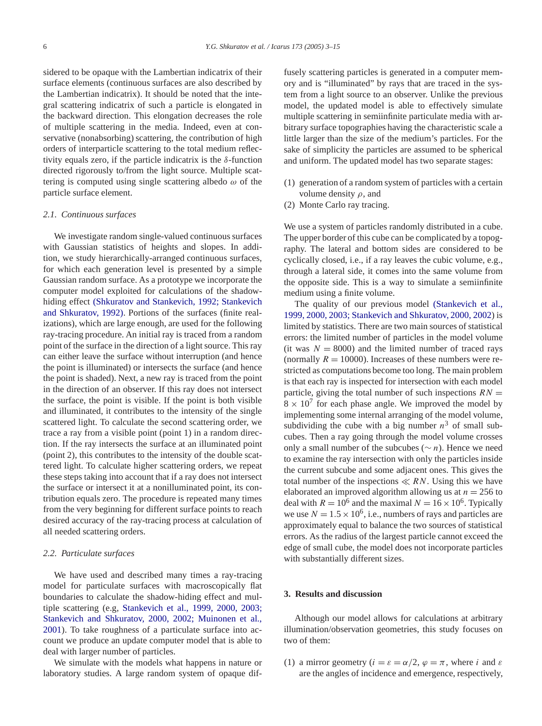sidered to be opaque with the Lambertian indicatrix of their surface elements (continuous surfaces are also described by the Lambertian indicatrix). It should be noted that the integral scattering indicatrix of such a particle is elongated in the backward direction. This elongation decreases the role of multiple scattering in the media. Indeed, even at conservative (nonabsorbing) scattering, the contribution of high orders of interparticle scattering to the total medium reflectivity equals zero, if the particle indicatrix is the *δ*-function directed rigorously to/from the light source. Multiple scattering is computed using single scattering albedo *ω* of the particle surface element.

## *2.1. Continuous surfaces*

We investigate random single-valued continuous surfaces with Gaussian statistics of heights and slopes. In addition, we study hierarchically-arranged continuous surfaces, for which each generation level is presented by a simple Gaussian random surface. As a prototype we incorporate the computer model exploited for calculations of the shadowhiding effect [\(Shkuratov and Stankevich, 1992; Stankevich](#page-12-0) [and Shkuratov, 1992\).](#page-12-0) Portions of the surfaces (finite realizations), which are large enough, are used for the following ray-tracing procedure. An initial ray is traced from a random point of the surface in the direction of a light source. This ray can either leave the surface without interruption (and hence the point is illuminated) or intersects the surface (and hence the point is shaded). Next, a new ray is traced from the point in the direction of an observer. If this ray does not intersect the surface, the point is visible. If the point is both visible and illuminated, it contributes to the intensity of the single scattered light. To calculate the second scattering order, we trace a ray from a visible point (point 1) in a random direction. If the ray intersects the surface at an illuminated point (point 2), this contributes to the intensity of the double scattered light. To calculate higher scattering orders, we repeat these steps taking into account that if a ray does not intersect the surface or intersect it at a nonilluminated point, its contribution equals zero. The procedure is repeated many times from the very beginning for different surface points to reach desired accuracy of the ray-tracing process at calculation of all needed scattering orders.

## *2.2. Particulate surfaces*

We have used and described many times a ray-tracing model for particulate surfaces with macroscopically flat boundaries to calculate the shadow-hiding effect and multiple scattering (e.g, [Stankevich et al., 1999, 2000, 2003;](#page-12-0) [Stankevich and Shkuratov, 2000, 2002; Muinonen et al.,](#page-12-0) [2001\)](#page-12-0). To take roughness of a particulate surface into account we produce an update computer model that is able to deal with larger number of particles.

We simulate with the models what happens in nature or laboratory studies. A large random system of opaque diffusely scattering particles is generated in a computer memory and is "illuminated" by rays that are traced in the system from a light source to an observer. Unlike the previous model, the updated model is able to effectively simulate multiple scattering in semiinfinite particulate media with arbitrary surface topographies having the characteristic scale a little larger than the size of the medium's particles. For the sake of simplicity the particles are assumed to be spherical and uniform. The updated model has two separate stages:

- (1) generation of a random system of particles with a certain volume density *ρ*, and
- (2) Monte Carlo ray tracing.

We use a system of particles randomly distributed in a cube. The upper border of this cube can be complicated by a topography. The lateral and bottom sides are considered to be cyclically closed, i.e., if a ray leaves the cubic volume, e.g., through a lateral side, it comes into the same volume from the opposite side. This is a way to simulate a semiinfinite medium using a finite volume.

The quality of our previous model [\(Stankevich et al.,](#page-12-0) [1999, 2000, 2003; Stankevich and Shkuratov, 2000, 2002\)](#page-12-0) is limited by statistics. There are two main sources of statistical errors: the limited number of particles in the model volume (it was  $N = 8000$ ) and the limited number of traced rays (normally  $R = 10000$ ). Increases of these numbers were restricted as computations become too long. The main problem is that each ray is inspected for intersection with each model particle, giving the total number of such inspections  $RN =$  $8 \times 10^7$  for each phase angle. We improved the model by implementing some internal arranging of the model volume, subdividing the cube with a big number  $n<sup>3</sup>$  of small subcubes. Then a ray going through the model volume crosses only a small number of the subcubes (∼ *n*). Hence we need to examine the ray intersection with only the particles inside the current subcube and some adjacent ones. This gives the total number of the inspections  $\ll RN$ . Using this we have elaborated an improved algorithm allowing us at  $n = 256$  to deal with  $R = 10^6$  and the maximal  $N = 16 \times 10^6$ . Typically we use  $N = 1.5 \times 10^6$ , i.e., numbers of rays and particles are approximately equal to balance the two sources of statistical errors. As the radius of the largest particle cannot exceed the edge of small cube, the model does not incorporate particles with substantially different sizes.

## **3. Results and discussion**

Although our model allows for calculations at arbitrary illumination/observation geometries, this study focuses on two of them:

(1) a mirror geometry ( $i = \varepsilon = \alpha/2$ ,  $\varphi = \pi$ , where *i* and  $\varepsilon$ are the angles of incidence and emergence, respectively,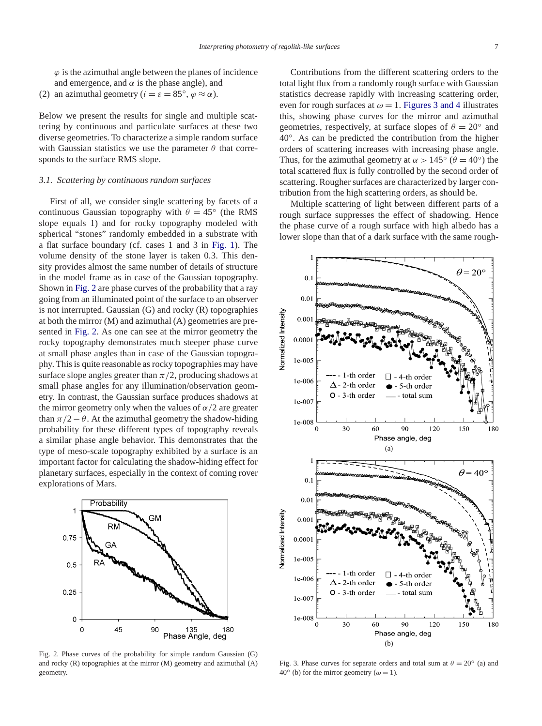<span id="page-4-0"></span> $\varphi$  is the azimuthal angle between the planes of incidence and emergence, and  $\alpha$  is the phase angle), and

(2) an azimuthal geometry ( $i = \varepsilon = 85^\circ$ ,  $\varphi \approx \alpha$ ).

Below we present the results for single and multiple scattering by continuous and particulate surfaces at these two diverse geometries. To characterize a simple random surface with Gaussian statistics we use the parameter  $\theta$  that corresponds to the surface RMS slope.

## *3.1. Scattering by continuous random surfaces*

First of all, we consider single scattering by facets of a continuous Gaussian topography with  $\theta = 45^\circ$  (the RMS slope equals 1) and for rocky topography modeled with spherical "stones" randomly embedded in a substrate with a flat surface boundary (cf. cases 1 and 3 in [Fig. 1\)](#page-1-0). The volume density of the stone layer is taken 0.3. This density provides almost the same number of details of structure in the model frame as in case of the Gaussian topography. Shown in Fig. 2 are phase curves of the probability that a ray going from an illuminated point of the surface to an observer is not interrupted. Gaussian (G) and rocky (R) topographies at both the mirror (M) and azimuthal (A) geometries are presented in Fig. 2. As one can see at the mirror geometry the rocky topography demonstrates much steeper phase curve at small phase angles than in case of the Gaussian topography. This is quite reasonable as rocky topographies may have surface slope angles greater than  $\pi/2$ , producing shadows at small phase angles for any illumination/observation geometry. In contrast, the Gaussian surface produces shadows at the mirror geometry only when the values of  $\alpha/2$  are greater than  $\pi/2 - \theta$ . At the azimuthal geometry the shadow-hiding probability for these different types of topography reveals a similar phase angle behavior. This demonstrates that the type of meso-scale topography exhibited by a surface is an important factor for calculating the shadow-hiding effect for planetary surfaces, especially in the context of coming rover explorations of Mars.



Fig. 2. Phase curves of the probability for simple random Gaussian (G) and rocky  $(R)$  topographies at the mirror  $(M)$  geometry and azimuthal  $(A)$ geometry.

Contributions from the different scattering orders to the total light flux from a randomly rough surface with Gaussian statistics decrease rapidly with increasing scattering order, even for rough surfaces at  $\omega = 1$ . Figures 3 and 4 illustrates this, showing phase curves for the mirror and azimuthal geometries, respectively, at surface slopes of  $\theta = 20^\circ$  and 40◦. As can be predicted the contribution from the higher orders of scattering increases with increasing phase angle. Thus, for the azimuthal geometry at  $\alpha > 145^{\circ}$  ( $\theta = 40^{\circ}$ ) the total scattered flux is fully controlled by the second order of scattering. Rougher surfaces are characterized by larger contribution from the high scattering orders, as should be.

Multiple scattering of light between different parts of a rough surface suppresses the effect of shadowing. Hence the phase curve of a rough surface with high albedo has a lower slope than that of a dark surface with the same rough-



Fig. 3. Phase curves for separate orders and total sum at  $\theta = 20^\circ$  (a) and 40<sup>°</sup> (b) for the mirror geometry ( $\omega = 1$ ).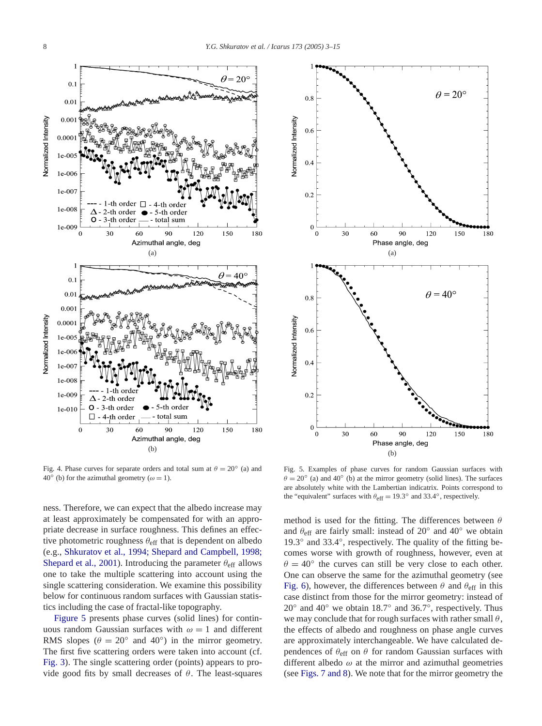

Fig. 4. Phase curves for separate orders and total sum at  $\theta = 20^\circ$  (a) and 40 $\degree$  (b) for the azimuthal geometry ( $\omega = 1$ ).

ness. Therefore, we can expect that the albedo increase may at least approximately be compensated for with an appropriate decrease in surface roughness. This defines an effective photometric roughness *θ*eff that is dependent on albedo (e.g., [Shkuratov et al., 1994; Shepard and Campbell, 1998;](#page-12-0) [Shepard et al., 2001\)](#page-12-0). Introducing the parameter  $\theta_{\text{eff}}$  allows one to take the multiple scattering into account using the single scattering consideration. We examine this possibility below for continuous random surfaces with Gaussian statistics including the case of fractal-like topography.

Figure 5 presents phase curves (solid lines) for continuous random Gaussian surfaces with  $\omega = 1$  and different RMS slopes ( $\theta = 20^\circ$  and 40<sup>°</sup>) in the mirror geometry. The first five scattering orders were taken into account (cf. [Fig. 3\)](#page-4-0). The single scattering order (points) appears to provide good fits by small decreases of  $\theta$ . The least-squares



Fig. 5. Examples of phase curves for random Gaussian surfaces with  $\theta = 20^\circ$  (a) and 40<sup>°</sup> (b) at the mirror geometry (solid lines). The surfaces are absolutely white with the Lambertian indicatrix. Points correspond to the "equivalent" surfaces with  $\theta_{\text{eff}} = 19.3^\circ$  and 33.4°, respectively.

method is used for the fitting. The differences between *θ* and *θ*eff are fairly small: instead of 20◦ and 40◦ we obtain 19.3◦ and 33.4◦, respectively. The quality of the fitting becomes worse with growth of roughness, however, even at  $\theta = 40^\circ$  the curves can still be very close to each other. One can observe the same for the azimuthal geometry (see [Fig. 6\)](#page-6-0), however, the differences between  $\theta$  and  $\theta_{\text{eff}}$  in this case distinct from those for the mirror geometry: instead of 20◦ and 40◦ we obtain 18.7◦ and 36.7◦, respectively. Thus we may conclude that for rough surfaces with rather small *θ* , the effects of albedo and roughness on phase angle curves are approximately interchangeable. We have calculated dependences of  $\theta_{\text{eff}}$  on  $\theta$  for random Gaussian surfaces with different albedo *ω* at the mirror and azimuthal geometries (see [Figs. 7 and 8\)](#page-6-0). We note that for the mirror geometry the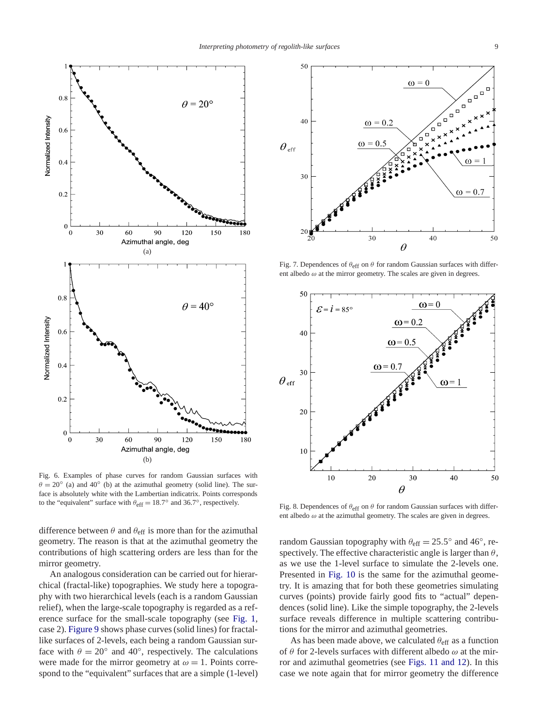<span id="page-6-0"></span>

Fig. 6. Examples of phase curves for random Gaussian surfaces with  $\theta = 20^\circ$  (a) and 40<sup>°</sup> (b) at the azimuthal geometry (solid line). The surface is absolutely white with the Lambertian indicatrix. Points corresponds to the "equivalent" surface with  $\theta_{\text{eff}} = 18.7^{\circ}$  and 36.7°, respectively.

difference between  $\theta$  and  $\theta_{\text{eff}}$  is more than for the azimuthal geometry. The reason is that at the azimuthal geometry the contributions of high scattering orders are less than for the mirror geometry.

An analogous consideration can be carried out for hierarchical (fractal-like) topographies. We study here a topography with two hierarchical levels (each is a random Gaussian relief), when the large-scale topography is regarded as a reference surface for the small-scale topography (see [Fig. 1,](#page-1-0) case 2). [Figure 9](#page-7-0) shows phase curves (solid lines) for fractallike surfaces of 2-levels, each being a random Gaussian surface with  $\theta = 20^\circ$  and 40°, respectively. The calculations were made for the mirror geometry at  $\omega = 1$ . Points correspond to the "equivalent" surfaces that are a simple (1-level)



Fig. 7. Dependences of *θ*eff on *θ* for random Gaussian surfaces with different albedo  $\omega$  at the mirror geometry. The scales are given in degrees.



Fig. 8. Dependences of  $\theta_{\text{eff}}$  on  $\theta$  for random Gaussian surfaces with different albedo  $\omega$  at the azimuthal geometry. The scales are given in degrees.

random Gaussian topography with  $\theta_{\text{eff}} = 25.5^{\circ}$  and 46°, respectively. The effective characteristic angle is larger than  $\theta$ , as we use the 1-level surface to simulate the 2-levels one. Presented in [Fig. 10](#page-7-0) is the same for the azimuthal geometry. It is amazing that for both these geometries simulating curves (points) provide fairly good fits to "actual" dependences (solid line). Like the simple topography, the 2-levels surface reveals difference in multiple scattering contributions for the mirror and azimuthal geometries.

As has been made above, we calculated *θ*eff as a function of *θ* for 2-levels surfaces with different albedo *ω* at the mirror and azimuthal geometries (see [Figs. 11 and 12\)](#page-8-0). In this case we note again that for mirror geometry the difference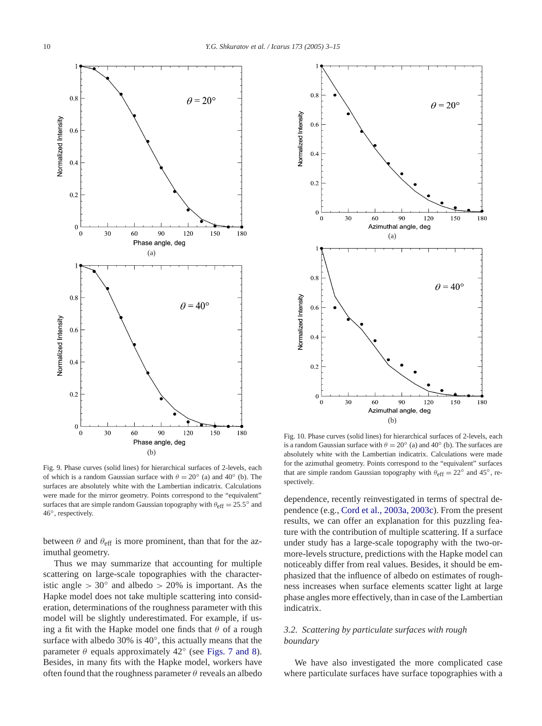<span id="page-7-0"></span>

Fig. 9. Phase curves (solid lines) for hierarchical surfaces of 2-levels, each of which is a random Gaussian surface with  $\theta = 20^\circ$  (a) and 40<sup>°</sup> (b). The surfaces are absolutely white with the Lambertian indicatrix. Calculations were made for the mirror geometry. Points correspond to the "equivalent" surfaces that are simple random Gaussian topography with  $\theta_{\text{eff}} = 25.5^\circ$  and 46◦, respectively.

between  $\theta$  and  $\theta_{\text{eff}}$  is more prominent, than that for the azimuthal geometry.

Thus we may summarize that accounting for multiple scattering on large-scale topographies with the characteristic angle  $> 30°$  and albedo  $> 20\%$  is important. As the Hapke model does not take multiple scattering into consideration, determinations of the roughness parameter with this model will be slightly underestimated. For example, if using a fit with the Hapke model one finds that *θ* of a rough surface with albedo 30% is 40◦, this actually means that the parameter  $\theta$  equals approximately 42 $\degree$  (see [Figs. 7 and 8\)](#page-6-0). Besides, in many fits with the Hapke model, workers have often found that the roughness parameter *θ* reveals an albedo



Fig. 10. Phase curves (solid lines) for hierarchical surfaces of 2-levels, each is a random Gaussian surface with  $\theta = 20^\circ$  (a) and 40<sup>°</sup> (b). The surfaces are absolutely white with the Lambertian indicatrix. Calculations were made for the azimuthal geometry. Points correspond to the "equivalent" surfaces that are simple random Gaussian topography with  $θ_{eff} = 22°$  and 45°, respectively.

dependence, recently reinvestigated in terms of spectral dependence (e.g., [Cord et al., 2003a, 2003c\)](#page-11-0). From the present results, we can offer an explanation for this puzzling feature with the contribution of multiple scattering. If a surface under study has a large-scale topography with the two-ormore-levels structure, predictions with the Hapke model can noticeably differ from real values. Besides, it should be emphasized that the influence of albedo on estimates of roughness increases when surface elements scatter light at large phase angles more effectively, than in case of the Lambertian indicatrix.

## *3.2. Scattering by particulate surfaces with rough boundary*

We have also investigated the more complicated case where particulate surfaces have surface topographies with a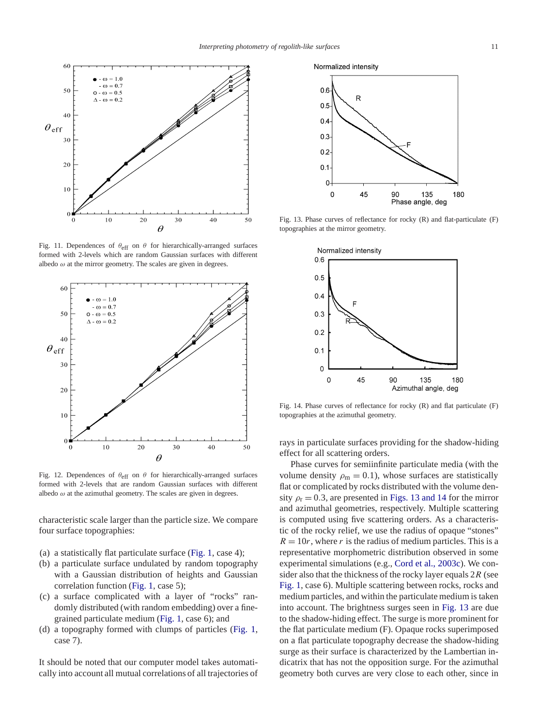<span id="page-8-0"></span>

Fig. 11. Dependences of *θ*eff on *θ* for hierarchically-arranged surfaces formed with 2-levels which are random Gaussian surfaces with different albedo  $\omega$  at the mirror geometry. The scales are given in degrees.



Fig. 12. Dependences of *θ*eff on *θ* for hierarchically-arranged surfaces formed with 2-levels that are random Gaussian surfaces with different albedo  $\omega$  at the azimuthal geometry. The scales are given in degrees.

characteristic scale larger than the particle size. We compare four surface topographies:

- (a) a statistically flat particulate surface [\(Fig. 1,](#page-1-0) case 4);
- (b) a particulate surface undulated by random topography with a Gaussian distribution of heights and Gaussian correlation function [\(Fig. 1,](#page-1-0) case 5);
- (c) a surface complicated with a layer of "rocks" randomly distributed (with random embedding) over a finegrained particulate medium [\(Fig. 1,](#page-1-0) case 6); and
- (d) a topography formed with clumps of particles [\(Fig. 1,](#page-1-0) case 7).

It should be noted that our computer model takes automatically into account all mutual correlations of all trajectories of



Fig. 13. Phase curves of reflectance for rocky (R) and flat-particulate (F) topographies at the mirror geometry.



Fig. 14. Phase curves of reflectance for rocky (R) and flat particulate (F) topographies at the azimuthal geometry.

rays in particulate surfaces providing for the shadow-hiding effect for all scattering orders.

Phase curves for semiinfinite particulate media (with the volume density  $\rho_m = 0.1$ ), whose surfaces are statistically flat or complicated by rocks distributed with the volume density  $\rho_r = 0.3$ , are presented in Figs. 13 and 14 for the mirror and azimuthal geometries, respectively. Multiple scattering is computed using five scattering orders. As a characteristic of the rocky relief, we use the radius of opaque "stones"  $R = 10r$ , where *r* is the radius of medium particles. This is a representative morphometric distribution observed in some experimental simulations (e.g., [Cord et al., 2003c\)](#page-11-0). We consider also that the thickness of the rocky layer equals 2*R* (see [Fig. 1,](#page-1-0) case 6). Multiple scattering between rocks, rocks and medium particles, and within the particulate medium is taken into account. The brightness surges seen in Fig. 13 are due to the shadow-hiding effect. The surge is more prominent for the flat particulate medium (F). Opaque rocks superimposed on a flat particulate topography decrease the shadow-hiding surge as their surface is characterized by the Lambertian indicatrix that has not the opposition surge. For the azimuthal geometry both curves are very close to each other, since in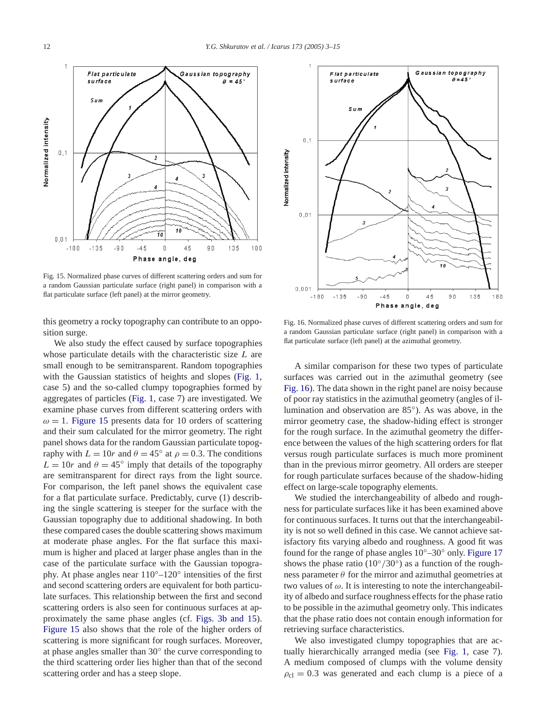

Fig. 15. Normalized phase curves of different scattering orders and sum for a random Gaussian particulate surface (right panel) in comparison with a flat particulate surface (left panel) at the mirror geometry.

this geometry a rocky topography can contribute to an opposition surge.

We also study the effect caused by surface topographies whose particulate details with the characteristic size *L* are small enough to be semitransparent. Random topographies with the Gaussian statistics of heights and slopes [\(Fig. 1,](#page-1-0) case 5) and the so-called clumpy topographies formed by aggregates of particles [\(Fig. 1,](#page-1-0) case 7) are investigated. We examine phase curves from different scattering orders with  $\omega = 1$ . Figure 15 presents data for 10 orders of scattering and their sum calculated for the mirror geometry. The right panel shows data for the random Gaussian particulate topography with  $L = 10r$  and  $\theta = 45^\circ$  at  $\rho = 0.3$ . The conditions  $L = 10r$  and  $\theta = 45^\circ$  imply that details of the topography are semitransparent for direct rays from the light source. For comparison, the left panel shows the equivalent case for a flat particulate surface. Predictably, curve (1) describing the single scattering is steeper for the surface with the Gaussian topography due to additional shadowing. In both these compared cases the double scattering shows maximum at moderate phase angles. For the flat surface this maximum is higher and placed at larger phase angles than in the case of the particulate surface with the Gaussian topography. At phase angles near 110◦–120◦ intensities of the first and second scattering orders are equivalent for both particulate surfaces. This relationship between the first and second scattering orders is also seen for continuous surfaces at approximately the same phase angles (cf. [Figs. 3b and 15\)](#page-4-0). Figure 15 also shows that the role of the higher orders of scattering is more significant for rough surfaces. Moreover, at phase angles smaller than 30◦ the curve corresponding to the third scattering order lies higher than that of the second scattering order and has a steep slope.



Fig. 16. Normalized phase curves of different scattering orders and sum for a random Gaussian particulate surface (right panel) in comparison with a flat particulate surface (left panel) at the azimuthal geometry.

A similar comparison for these two types of particulate surfaces was carried out in the azimuthal geometry (see Fig. 16). The data shown in the right panel are noisy because of poor ray statistics in the azimuthal geometry (angles of illumination and observation are 85◦). As was above, in the mirror geometry case, the shadow-hiding effect is stronger for the rough surface. In the azimuthal geometry the difference between the values of the high scattering orders for flat versus rough particulate surfaces is much more prominent than in the previous mirror geometry. All orders are steeper for rough particulate surfaces because of the shadow-hiding effect on large-scale topography elements.

We studied the interchangeability of albedo and roughness for particulate surfaces like it has been examined above for continuous surfaces. It turns out that the interchangeability is not so well defined in this case. We cannot achieve satisfactory fits varying albedo and roughness. A good fit was found for the range of phase angles 10◦–30◦ only. [Figure 17](#page-10-0) shows the phase ratio (10◦*/*30◦) as a function of the roughness parameter  $\theta$  for the mirror and azimuthal geometries at two values of *ω*. It is interesting to note the interchangeability of albedo and surface roughness effects for the phase ratio to be possible in the azimuthal geometry only. This indicates that the phase ratio does not contain enough information for retrieving surface characteristics.

We also investigated clumpy topographies that are actually hierarchically arranged media (see [Fig. 1,](#page-1-0) case 7). A medium composed of clumps with the volume density  $\rho_{\rm cl} = 0.3$  was generated and each clump is a piece of a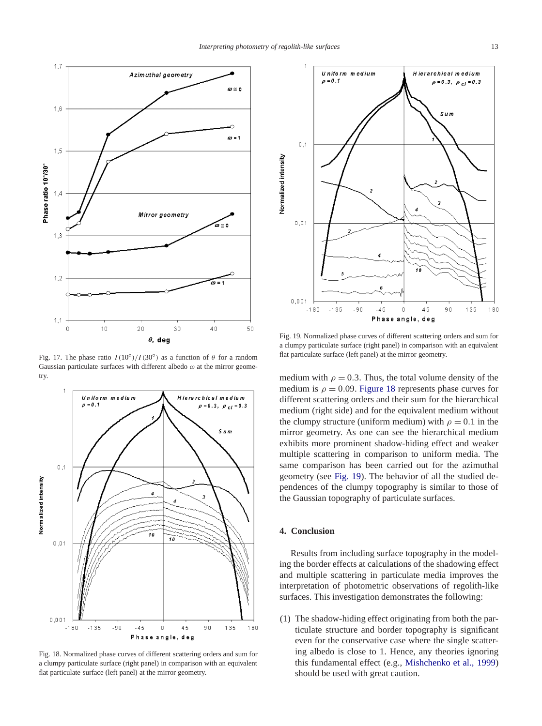<span id="page-10-0"></span>

Fig. 17. The phase ratio  $I(10°)/I(30°)$  as a function of  $\theta$  for a random Gaussian particulate surfaces with different albedo  $\omega$  at the mirror geometry.



Fig. 18. Normalized phase curves of different scattering orders and sum for a clumpy particulate surface (right panel) in comparison with an equivalent flat particulate surface (left panel) at the mirror geometry.



Fig. 19. Normalized phase curves of different scattering orders and sum for a clumpy particulate surface (right panel) in comparison with an equivalent flat particulate surface (left panel) at the mirror geometry.

medium with  $\rho = 0.3$ . Thus, the total volume density of the medium is  $\rho = 0.09$ . Figure 18 represents phase curves for different scattering orders and their sum for the hierarchical medium (right side) and for the equivalent medium without the clumpy structure (uniform medium) with  $\rho = 0.1$  in the mirror geometry. As one can see the hierarchical medium exhibits more prominent shadow-hiding effect and weaker multiple scattering in comparison to uniform media. The same comparison has been carried out for the azimuthal geometry (see Fig. 19). The behavior of all the studied dependences of the clumpy topography is similar to those of the Gaussian topography of particulate surfaces.

## **4. Conclusion**

Results from including surface topography in the modeling the border effects at calculations of the shadowing effect and multiple scattering in particulate media improves the interpretation of photometric observations of regolith-like surfaces. This investigation demonstrates the following:

(1) The shadow-hiding effect originating from both the particulate structure and border topography is significant even for the conservative case where the single scattering albedo is close to 1. Hence, any theories ignoring this fundamental effect (e.g., [Mishchenko et al., 1999\)](#page-11-0) should be used with great caution.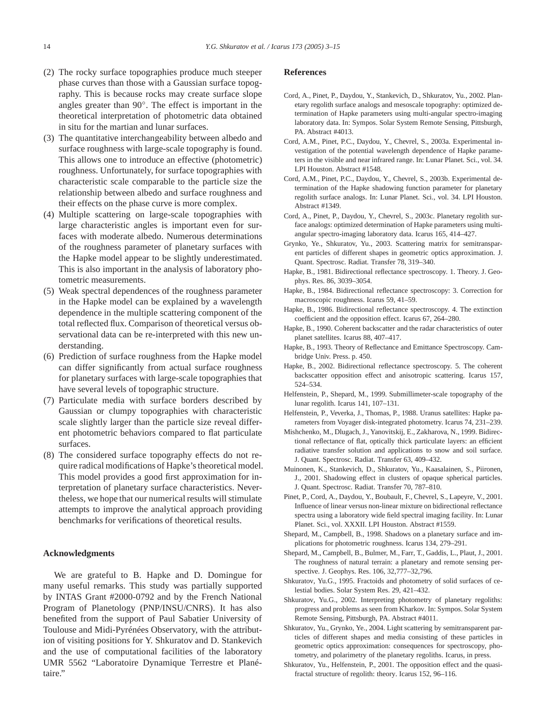- <span id="page-11-0"></span>(2) The rocky surface topographies produce much steeper phase curves than those with a Gaussian surface topography. This is because rocks may create surface slope angles greater than 90◦. The effect is important in the theoretical interpretation of photometric data obtained in situ for the martian and lunar surfaces.
- (3) The quantitative interchangeability between albedo and surface roughness with large-scale topography is found. This allows one to introduce an effective (photometric) roughness. Unfortunately, for surface topographies with characteristic scale comparable to the particle size the relationship between albedo and surface roughness and their effects on the phase curve is more complex.
- (4) Multiple scattering on large-scale topographies with large characteristic angles is important even for surfaces with moderate albedo. Numerous determinations of the roughness parameter of planetary surfaces with the Hapke model appear to be slightly underestimated. This is also important in the analysis of laboratory photometric measurements.
- (5) Weak spectral dependences of the roughness parameter in the Hapke model can be explained by a wavelength dependence in the multiple scattering component of the total reflected flux. Comparison of theoretical versus observational data can be re-interpreted with this new understanding.
- (6) Prediction of surface roughness from the Hapke model can differ significantly from actual surface roughness for planetary surfaces with large-scale topographies that have several levels of topographic structure.
- (7) Particulate media with surface borders described by Gaussian or clumpy topographies with characteristic scale slightly larger than the particle size reveal different photometric behaviors compared to flat particulate surfaces.
- (8) The considered surface topography effects do not require radical modifications of Hapke's theoretical model. This model provides a good first approximation for interpretation of planetary surface characteristics. Nevertheless, we hope that our numerical results will stimulate attempts to improve the analytical approach providing benchmarks for verifications of theoretical results.

## **Acknowledgments**

We are grateful to B. Hapke and D. Domingue for many useful remarks. This study was partially supported by INTAS Grant #2000-0792 and by the French National Program of Planetology (PNP/INSU/CNRS). It has also benefited from the support of Paul Sabatier University of Toulouse and Midi-Pyrénées Observatory, with the attribution of visiting positions for Y. Shkuratov and D. Stankevich and the use of computational facilities of the laboratory UMR 5562 "Laboratoire Dynamique Terrestre et Planétaire."

## **References**

- Cord, A., Pinet, P., Daydou, Y., Stankevich, D., Shkuratov, Yu., 2002. Planetary regolith surface analogs and mesoscale topography: optimized determination of Hapke parameters using multi-angular spectro-imaging laboratory data. In: Sympos. Solar System Remote Sensing, Pittsburgh, PA. Abstract #4013.
- Cord, A.M., Pinet, P.C., Daydou, Y., Chevrel, S., 2003a. Experimental investigation of the potential wavelength dependence of Hapke parameters in the visible and near infrared range. In: Lunar Planet. Sci., vol. 34. LPI Houston. Abstract #1548.
- Cord, A.M., Pinet, P.C., Daydou, Y., Chevrel, S., 2003b. Experimental determination of the Hapke shadowing function parameter for planetary regolith surface analogs. In: Lunar Planet. Sci., vol. 34. LPI Houston. Abstract #1349.
- Cord, A., Pinet, P., Daydou, Y., Chevrel, S., 2003c. Planetary regolith surface analogs: optimized determination of Hapke parameters using multiangular spectro-imaging laboratory data. Icarus 165, 414–427.
- Grynko, Ye., Shkuratov, Yu., 2003. Scattering matrix for semitransparent particles of different shapes in geometric optics approximation. J. Quant. Spectrosc. Radiat. Transfer 78, 319–340.
- Hapke, B., 1981. Bidirectional reflectance spectroscopy. 1. Theory. J. Geophys. Res. 86, 3039–3054.
- Hapke, B., 1984. Bidirectional reflectance spectroscopy: 3. Correction for macroscopic roughness. Icarus 59, 41–59.
- Hapke, B., 1986. Bidirectional reflectance spectroscopy. 4. The extinction coefficient and the opposition effect. Icarus 67, 264–280.
- Hapke, B., 1990. Coherent backscatter and the radar characteristics of outer planet satellites. Icarus 88, 407–417.
- Hapke, B., 1993. Theory of Reflectance and Emittance Spectroscopy. Cambridge Univ. Press. p. 450.
- Hapke, B., 2002. Bidirectional reflectance spectroscopy. 5. The coherent backscatter opposition effect and anisotropic scattering. Icarus 157, 524–534.
- Helfenstein, P., Shepard, M., 1999. Submillimeter-scale topography of the lunar regolith. Icarus 141, 107–131.
- Helfenstein, P., Veverka, J., Thomas, P., 1988. Uranus satellites: Hapke parameters from Voyager disk-integrated photometry. Icarus 74, 231–239.
- Mishchenko, M., Dlugach, J., Yanovitskij, E., Zakharova, N., 1999. Bidirectional reflectance of flat, optically thick particulate layers: an efficient radiative transfer solution and applications to snow and soil surface. J. Quant. Spectrosc. Radiat. Transfer 63, 409–432.
- Muinonen, K., Stankevich, D., Shkuratov, Yu., Kaasalainen, S., Piironen, J., 2001. Shadowing effect in clusters of opaque spherical particles. J. Quant. Spectrosc. Radiat. Transfer 70, 787–810.
- Pinet, P., Cord, A., Daydou, Y., Boubault, F., Chevrel, S., Lapeyre, V., 2001. Influence of linear versus non-linear mixture on bidirectional reflectance spectra using a laboratory wide field spectral imaging facility. In: Lunar Planet. Sci., vol. XXXII. LPI Houston. Abstract #1559.
- Shepard, M., Campbell, B., 1998. Shadows on a planetary surface and implications for photometric roughness. Icarus 134, 279–291.
- Shepard, M., Campbell, B., Bulmer, M., Farr, T., Gaddis, L., Plaut, J., 2001. The roughness of natural terrain: a planetary and remote sensing perspective. J. Geophys. Res. 106, 32,777–32,796.
- Shkuratov, Yu.G., 1995. Fractoids and photometry of solid surfaces of celestial bodies. Solar System Res. 29, 421–432.
- Shkuratov, Yu.G., 2002. Interpreting photometry of planetary regoliths: progress and problems as seen from Kharkov. In: Sympos. Solar System Remote Sensing, Pittsburgh, PA. Abstract #4011.
- Shkuratov, Yu., Grynko, Ye., 2004. Light scattering by semitransparent particles of different shapes and media consisting of these particles in geometric optics approximation: consequences for spectroscopy, photometry, and polarimetry of the planetary regoliths. Icarus, in press.
- Shkuratov, Yu., Helfenstein, P., 2001. The opposition effect and the quasifractal structure of regolith: theory. Icarus 152, 96–116.